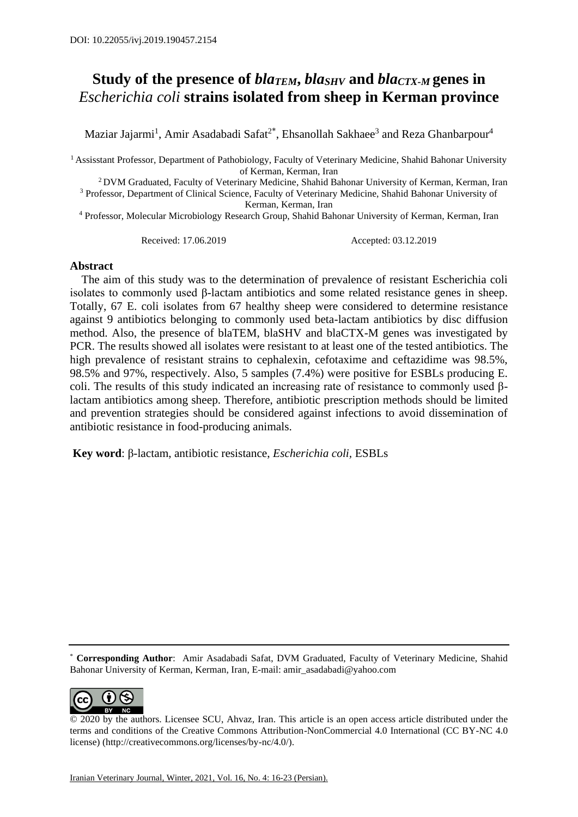## **Study of the presence of** *blaTEM***,** *blaSHV* **and** *blaCTX-M* **genes in**  *Escherichia coli* **strains isolated from sheep in Kerman province**

Maziar Jajarmi<sup>1</sup>, Amir Asadabadi Safat<sup>2\*</sup>, Ehsanollah Sakhaee<sup>3</sup> and Reza Ghanbarpour<sup>4</sup>

<sup>1</sup> Assisstant Professor, Department of Pathobiology, Faculty of Veterinary Medicine, Shahid Bahonar University of Kerman, Kerman, Iran

<sup>2</sup> DVM Graduated, Faculty of Veterinary Medicine, Shahid Bahonar University of Kerman, Kerman, Iran

<sup>3</sup> Professor, Department of Clinical Science, Faculty of Veterinary Medicine, Shahid Bahonar University of Kerman, Kerman, Iran

<sup>4</sup> Professor, Molecular Microbiology Research Group, Shahid Bahonar University of Kerman, Kerman, Iran

Received: 17.06.2019 Accepted: 03.12.2019

## **Abstract**

 The aim of this study was to the determination of prevalence of resistant Escherichia coli isolates to commonly used β-lactam antibiotics and some related resistance genes in sheep. Totally, 67 E. coli isolates from 67 healthy sheep were considered to determine resistance against 9 antibiotics belonging to commonly used beta-lactam antibiotics by disc diffusion method. Also, the presence of blaTEM, blaSHV and blaCTX-M genes was investigated by PCR. The results showed all isolates were resistant to at least one of the tested antibiotics. The high prevalence of resistant strains to cephalexin, cefotaxime and ceftazidime was 98.5%. 98.5% and 97%, respectively. Also, 5 samples (7.4%) were positive for ESBLs producing E. coli. The results of this study indicated an increasing rate of resistance to commonly used βlactam antibiotics among sheep. Therefore, antibiotic prescription methods should be limited and prevention strategies should be considered against infections to avoid dissemination of antibiotic resistance in food-producing animals.

**Key word**: β-lactam, antibiotic resistance, *Escherichia coli,* ESBLs

\* **Corresponding Author**: Amir Asadabadi Safat, DVM Graduated, Faculty of Veterinary Medicine, Shahid Bahonar University of Kerman, Kerman, Iran, E-mail: [amir\\_asadabadi@yahoo.com](mailto:amir_asadabadi@yahoo.com)



<sup>© 2020</sup> by the authors. Licensee SCU, Ahvaz, Iran. This article is an open access article distributed under the terms and conditions of the Creative Commons Attribution-NonCommercial 4.0 International (CC BY-NC 4.0 license) (http://creativecommons.org/licenses/by-nc/4.0/).